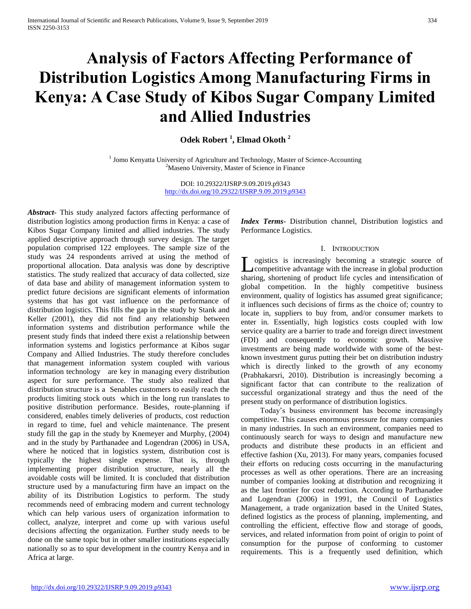# **Analysis of Factors Affecting Performance of Distribution Logistics Among Manufacturing Firms in Kenya: A Case Study of Kibos Sugar Company Limited and Allied Industries**

**Odek Robert <sup>1</sup> , Elmad Okoth <sup>2</sup>**

<sup>1</sup> Jomo Kenyatta University of Agriculture and Technology, Master of Science-Accounting <sup>2</sup>Maseno University, Master of Science in Finance

> DOI: 10.29322/IJSRP.9.09.2019.p9343 <http://dx.doi.org/10.29322/IJSRP.9.09.2019.p9343>

*Abstract***-** This study analyzed factors affecting performance of distribution logistics among production firms in Kenya: a case of Kibos Sugar Company limited and allied industries. The study applied descriptive approach through survey design. The target population comprised 122 employees. The sample size of the study was 24 respondents arrived at using the method of proportional allocation. Data analysis was done by descriptive statistics. The study realized that accuracy of data collected, size of data base and ability of management information system to predict future decisions are significant elements of information systems that has got vast influence on the performance of distribution logistics. This fills the gap in the study by Stank and Keller (2001), they did not find any relationship between information systems and distribution performance while the present study finds that indeed there exist a relationship between information systems and logistics performance at Kibos sugar Company and Allied Industries. The study therefore concludes that management information system coupled with various information technology are key in managing every distribution aspect for sure performance. The study also realized that distribution structure is a Senables customers to easily reach the products limiting stock outs which in the long run translates to positive distribution performance. Besides, route-planning if considered, enables timely deliveries of products, cost reduction in regard to time, fuel and vehicle maintenance. The present study fill the gap in the study by Knemeyer and Murphy, (2004) and in the study by Parthanadee and Logendran (2006) in USA, where he noticed that in logistics system, distribution cost is typically the highest single expense. That is, through implementing proper distribution structure, nearly all the avoidable costs will be limited. It is concluded that distribution structure used by a manufacturing firm have an impact on the ability of its Distribution Logistics to perform. The study recommends need of embracing modern and current technology which can help various users of organization information to collect, analyze, interpret and come up with various useful decisions affecting the organization. Further study needs to be done on the same topic but in other smaller institutions especially nationally so as to spur development in the country Kenya and in Africa at large.

*Index Terms*- Distribution channel, Distribution logistics and Performance Logistics.

#### I. INTRODUCTION

ogistics is increasingly becoming a strategic source of L ogistics is increasingly becoming a strategic source of competitive advantage with the increase in global production sharing, shortening of product life cycles and intensification of global competition. In the highly competitive business environment, quality of logistics has assumed great significance; it influences such decisions of firms as the choice of; country to locate in, suppliers to buy from, and/or consumer markets to enter in. Essentially, high logistics costs coupled with low service quality are a barrier to trade and foreign direct investment (FDI) and consequently to economic growth. Massive investments are being made worldwide with some of the bestknown investment gurus putting their bet on distribution industry which is directly linked to the growth of any economy (Prabhakarsri, 2010). Distribution is increasingly becoming a significant factor that can contribute to the realization of successful organizational strategy and thus the need of the present study on performance of distribution logistics.

 Today's business environment has become increasingly competitive. This causes enormous pressure for many companies in many industries. In such an environment, companies need to continuously search for ways to design and manufacture new products and distribute these products in an efficient and effective fashion (Xu, 2013). For many years, companies focused their efforts on reducing costs occurring in the manufacturing processes as well as other operations. There are an increasing number of companies looking at distribution and recognizing it as the last frontier for cost reduction. According to Parthanadee and Logendran (2006) in 1991, the Council of Logistics Management, a trade organization based in the United States, defined logistics as the process of planning, implementing, and controlling the efficient, effective flow and storage of goods, services, and related information from point of origin to point of consumption for the purpose of conforming to customer requirements. This is a frequently used definition, which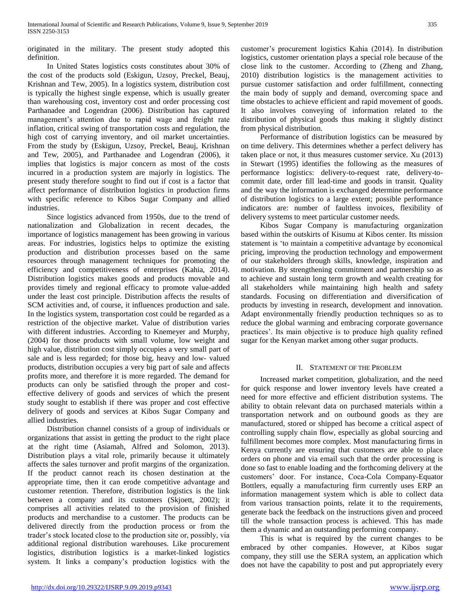originated in the military. The present study adopted this definition.

 In United States logistics costs constitutes about 30% of the cost of the products sold (Eskigun, Uzsoy, Preckel, Beauj, Krishnan and Tew, 2005). In a logistics system, distribution cost is typically the highest single expense, which is usually greater than warehousing cost, inventory cost and order processing cost Parthanadee and Logendran (2006). Distribution has captured management's attention due to rapid wage and freight rate inflation, critical swing of transportation costs and regulation, the high cost of carrying inventory, and oil market uncertainties. From the study by (Eskigun, Uzsoy, Preckel, Beauj, Krishnan and Tew, 2005), and Parthanadee and Logendran (2006), it implies that logistics is major concern as most of the costs incurred in a production system are majorly in logistics. The present study therefore sought to find out if cost is a factor that affect performance of distribution logistics in production firms with specific reference to Kibos Sugar Company and allied industries.

 Since logistics advanced from 1950s, due to the trend of nationalization and Globalization in recent decades, the importance of logistics management has been growing in various areas. For industries, logistics helps to optimize the existing production and distribution processes based on the same resources through management techniques for promoting the efficiency and competitiveness of enterprises (Kahia, 2014). Distribution logistics makes goods and products movable and provides timely and regional efficacy to promote value-added under the least cost principle. Distribution affects the results of SCM activities and, of course, it influences production and sale. In the logistics system, transportation cost could be regarded as a restriction of the objective market. Value of distribution varies with different industries. According to Knemeyer and Murphy, (2004) for those products with small volume, low weight and high value, distribution cost simply occupies a very small part of sale and is less regarded; for those big, heavy and low- valued products, distribution occupies a very big part of sale and affects profits more, and therefore it is more regarded. The demand for products can only be satisfied through the proper and costeffective delivery of goods and services of which the present study sought to establish if there was proper and cost effective delivery of goods and services at Kibos Sugar Company and allied industries.

 Distribution channel consists of a group of individuals or organizations that assist in getting the product to the right place at the right time (Asiamah, Alfred and Solomon, 2013). Distribution plays a vital role, primarily because it ultimately affects the sales turnover and profit margins of the organization. If the product cannot reach its chosen destination at the appropriate time, then it can erode competitive advantage and customer retention. Therefore, distribution logistics is the link between a company and its customers (Skjoett, 2002); it comprises all activities related to the provision of finished products and merchandise to a customer. The products can be delivered directly from the production process or from the trader's stock located close to the production site or, possibly, via additional regional distribution warehouses. Like procurement logistics, distribution logistics is a market-linked logistics system. It links a company's production logistics with the customer's procurement logistics Kahia (2014). In distribution logistics, customer orientation plays a special role because of the close link to the customer. According to (Zheng and Zhang, 2010) distribution logistics is the management activities to pursue customer satisfaction and order fulfillment, connecting the main body of supply and demand, overcoming space and time obstacles to achieve efficient and rapid movement of goods. It also involves conveying of information related to the distribution of physical goods thus making it slightly distinct from physical distribution.

 Performance of distribution logistics can be measured by on time delivery. This determines whether a perfect delivery has taken place or not, it thus measures customer service. Xu (2013) in Stewart (1995) identifies the following as the measures of performance logistics: delivery-to-request rate, delivery-tocommit date, order fill lead-time and goods in transit. Quality and the way the information is exchanged determine performance of distribution logistics to a large extent; possible performance indicators are: number of faultless invoices, flexibility of delivery systems to meet particular customer needs.

 Kibos Sugar Company is manufacturing organization based within the outskirts of Kisumu at Kibos center. Its mission statement is 'to maintain a competitive advantage by economical pricing, improving the production technology and empowerment of our stakeholders through skills, knowledge, inspiration and motivation. By strengthening commitment and partnership so as to achieve and sustain long term growth and wealth creating for all stakeholders while maintaining high health and safety standards. Focusing on differentiation and diversification of products by investing in research, development and innovation. Adapt environmentally friendly production techniques so as to reduce the global warming and embracing corporate governance practices'. Its main objective is to produce high quality refined sugar for the Kenyan market among other sugar products.

# II. STATEMENT OF THE PROBLEM

 Increased market competition, globalization, and the need for quick response and lower inventory levels have created a need for more effective and efficient distribution systems. The ability to obtain relevant data on purchased materials within a transportation network and on outbound goods as they are manufactured, stored or shipped has become a critical aspect of controlling supply chain flow, especially as global sourcing and fulfillment becomes more complex. Most manufacturing firms in Kenya currently are ensuring that customers are able to place orders on phone and via email such that the order processing is done so fast to enable loading and the forthcoming delivery at the customers' door. For instance, Coca-Cola Company-Equator Bottlers, equally a manufacturing firm currently uses ERP an information management system which is able to collect data from various transaction points, relate it to the requirements, generate back the feedback on the instructions given and proceed till the whole transaction process is achieved. This has made them a dynamic and an outstanding performing company.

 This is what is required by the current changes to be embraced by other companies. However, at Kibos sugar company, they still use the SERA system, an application which does not have the capability to post and put appropriately every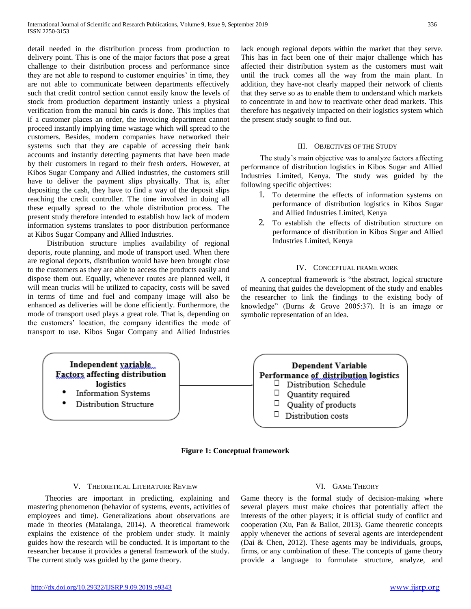detail needed in the distribution process from production to delivery point. This is one of the major factors that pose a great challenge to their distribution process and performance since they are not able to respond to customer enquiries' in time, they are not able to communicate between departments effectively such that credit control section cannot easily know the levels of stock from production department instantly unless a physical verification from the manual bin cards is done. This implies that if a customer places an order, the invoicing department cannot proceed instantly implying time wastage which will spread to the customers. Besides, modern companies have networked their systems such that they are capable of accessing their bank accounts and instantly detecting payments that have been made by their customers in regard to their fresh orders. However, at Kibos Sugar Company and Allied industries, the customers still have to deliver the payment slips physically. That is, after depositing the cash, they have to find a way of the deposit slips reaching the credit controller. The time involved in doing all these equally spread to the whole distribution process. The present study therefore intended to establish how lack of modern information systems translates to poor distribution performance at Kibos Sugar Company and Allied Industries.

 Distribution structure implies availability of regional deports, route planning, and mode of transport used. When there are regional deports, distribution would have been brought close to the customers as they are able to access the products easily and dispose them out. Equally, whenever routes are planned well, it will mean trucks will be utilized to capacity, costs will be saved in terms of time and fuel and company image will also be enhanced as deliveries will be done efficiently. Furthermore, the mode of transport used plays a great role. That is, depending on the customers' location, the company identifies the mode of transport to use. Kibos Sugar Company and Allied Industries lack enough regional depots within the market that they serve. This has in fact been one of their major challenge which has affected their distribution system as the customers must wait until the truck comes all the way from the main plant. In addition, they have-not clearly mapped their network of clients that they serve so as to enable them to understand which markets to concentrate in and how to reactivate other dead markets. This therefore has negatively impacted on their logistics system which the present study sought to find out.

#### III. OBJECTIVES OF THE STUDY

 The study's main objective was to analyze factors affecting performance of distribution logistics in Kibos Sugar and Allied Industries Limited, Kenya. The study was guided by the following specific objectives:

- 1. To determine the effects of information systems on performance of distribution logistics in Kibos Sugar and Allied Industries Limited, Kenya
- 2. To establish the effects of distribution structure on performance of distribution in Kibos Sugar and Allied Industries Limited, Kenya

#### IV. CONCEPTUAL FRAME WORK

 A conceptual framework is "the abstract, logical structure of meaning that guides the development of the study and enables the researcher to link the findings to the existing body of knowledge" (Burns & Grove 2005:37). It is an image or symbolic representation of an idea.



**Figure 1: Conceptual framework**

#### V. THEORETICAL LITERATURE REVIEW

 Theories are important in predicting, explaining and mastering phenomenon (behavior of systems, events, activities of employees and time). Generalizations about observations are made in theories (Matalanga, 2014). A theoretical framework explains the existence of the problem under study. It mainly guides how the research will be conducted. It is important to the researcher because it provides a general framework of the study. The current study was guided by the game theory.

# VI. GAME THEORY

Game theory is the formal study of decision-making where several players must make choices that potentially affect the interests of the other players; it is official study of conflict and cooperation (Xu, Pan & Ballot, 2013). Game theoretic concepts apply whenever the actions of several agents are interdependent (Dai & Chen, 2012). These agents may be individuals, groups, firms, or any combination of these. The concepts of game theory provide a language to formulate structure, analyze, and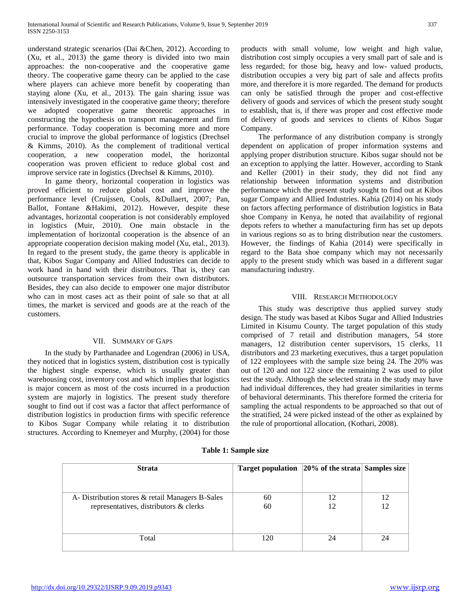understand strategic scenarios (Dai &Chen, 2012). According to (Xu, et al., 2013) the game theory is divided into two main approaches: the non-cooperative and the cooperative game theory. The cooperative game theory can be applied to the case where players can achieve more benefit by cooperating than staying alone (Xu, et al., 2013). The gain sharing issue was intensively investigated in the cooperative game theory; therefore we adopted cooperative game theoretic approaches in constructing the hypothesis on transport management and firm performance. Today cooperation is becoming more and more crucial to improve the global performance of logistics (Drechsel & Kimms, 2010). As the complement of traditional vertical cooperation, a new cooperation model, the horizontal cooperation was proven efficient to reduce global cost and improve service rate in logistics (Drechsel & Kimms, 2010).

 In game theory, horizontal cooperation in logistics was proved efficient to reduce global cost and improve the performance level (Cruijssen, Cools, &Dullaert, 2007; Pan, Ballot, Fontane &Hakimi, 2012). However, despite these advantages, horizontal cooperation is not considerably employed in logistics (Muir, 2010). One main obstacle in the implementation of horizontal cooperation is the absence of an appropriate cooperation decision making model (Xu, etal., 2013). In regard to the present study, the game theory is applicable in that, Kibos Sugar Company and Allied Industries can decide to work hand in hand with their distributors. That is, they can outsource transportation services from their own distributors. Besides, they can also decide to empower one major distributor who can in most cases act as their point of sale so that at all times, the market is serviced and goods are at the reach of the customers.

## VII. SUMMARY OF GAPS

 In the study by Parthanadee and Logendran (2006) in USA, they noticed that in logistics system, distribution cost is typically the highest single expense, which is usually greater than warehousing cost, inventory cost and which implies that logistics is major concern as most of the costs incurred in a production system are majorly in logistics. The present study therefore sought to find out if cost was a factor that affect performance of distribution logistics in production firms with specific reference to Kibos Sugar Company while relating it to distribution structures. According to Knemeyer and Murphy, (2004) for those

products with small volume, low weight and high value, distribution cost simply occupies a very small part of sale and is less regarded; for those big, heavy and low- valued products, distribution occupies a very big part of sale and affects profits more, and therefore it is more regarded. The demand for products can only be satisfied through the proper and cost-effective delivery of goods and services of which the present study sought to establish, that is, if there was proper and cost effective mode of delivery of goods and services to clients of Kibos Sugar Company.

 The performance of any distribution company is strongly dependent on application of proper information systems and applying proper distribution structure. Kibos sugar should not be an exception to applying the latter. However, according to Stank and Keller (2001) in their study, they did not find any relationship between information systems and distribution performance which the present study sought to find out at Kibos sugar Company and Allied Industries. Kahia (2014) on his study on factors affecting performance of distribution logistics in Bata shoe Company in Kenya, he noted that availability of regional depots refers to whether a manufacturing firm has set up depots in various regions so as to bring distribution near the customers. However, the findings of Kahia (2014) were specifically in regard to the Bata shoe company which may not necessarily apply to the present study which was based in a different sugar manufacturing industry.

# VIII. RESEARCH METHODOLOGY

 This study was descriptive thus applied survey study design. The study was based at Kibos Sugar and Allied Industries Limited in Kisumu County. The target population of this study comprised of 7 retail and distribution managers, 54 store managers, 12 distribution center supervisors, 15 clerks, 11 distributors and 23 marketing executives, thus a target population of 122 employees with the sample size being 24. The 20% was out of 120 and not 122 since the remaining 2 was used to pilot test the study. Although the selected strata in the study may have had individual differences, they had greater similarities in terms of behavioral determinants. This therefore formed the criteria for sampling the actual respondents to be approached so that out of the stratified, 24 were picked instead of the other as explained by the rule of proportional allocation, (Kothari, 2008).

| <b>Strata</b>                                    | <b>Target population</b> | $ 20\%$ of the strata Samples size |    |
|--------------------------------------------------|--------------------------|------------------------------------|----|
|                                                  |                          |                                    |    |
| A- Distribution stores & retail Managers B-Sales | 60                       | 12                                 | 12 |
| representatives, distributors & clerks           | 60                       | 12                                 | 12 |
|                                                  |                          |                                    |    |
| Total                                            | 120                      | 24                                 | 24 |

**Table 1: Sample size**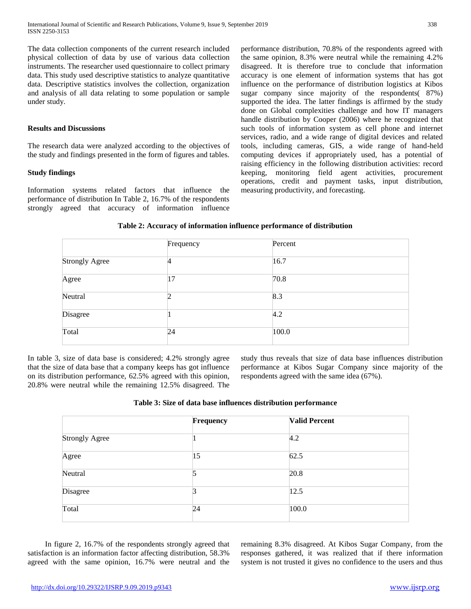The data collection components of the current research included physical collection of data by use of various data collection instruments. The researcher used questionnaire to collect primary data. This study used descriptive statistics to analyze quantitative data. Descriptive statistics involves the collection, organization and analysis of all data relating to some population or sample under study.

## **Results and Discussions**

The research data were analyzed according to the objectives of the study and findings presented in the form of figures and tables.

## **Study findings**

Information systems related factors that influence the performance of distribution In Table 2, 16.7% of the respondents strongly agreed that accuracy of information influence performance distribution, 70.8% of the respondents agreed with the same opinion, 8.3% were neutral while the remaining 4.2% disagreed. It is therefore true to conclude that information accuracy is one element of information systems that has got influence on the performance of distribution logistics at Kibos sugar company since majority of the respondents( 87%) supported the idea. The latter findings is affirmed by the study done on Global complexities challenge and how IT managers handle distribution by Cooper (2006) where he recognized that such tools of information system as cell phone and internet services, radio, and a wide range of digital devices and related tools, including cameras, GIS, a wide range of hand-held computing devices if appropriately used, has a potential of raising efficiency in the following distribution activities: record keeping, monitoring field agent activities, procurement operations, credit and payment tasks, input distribution, measuring productivity, and forecasting.

#### **Table 2: Accuracy of information influence performance of distribution**

|                       | Frequency | Percent |  |
|-----------------------|-----------|---------|--|
| <b>Strongly Agree</b> |           | 16.7    |  |
| Agree                 | 17        | 70.8    |  |
| Neutral               |           | 8.3     |  |
| Disagree              |           | 4.2     |  |
| Total                 | 24        | 100.0   |  |

In table 3, size of data base is considered; 4.2% strongly agree that the size of data base that a company keeps has got influence on its distribution performance, 62.5% agreed with this opinion, 20.8% were neutral while the remaining 12.5% disagreed. The study thus reveals that size of data base influences distribution performance at Kibos Sugar Company since majority of the respondents agreed with the same idea (67%).

#### **Table 3: Size of data base influences distribution performance**

|                       | Frequency | <b>Valid Percent</b> |  |
|-----------------------|-----------|----------------------|--|
| <b>Strongly Agree</b> |           | 4.2                  |  |
| Agree                 | 15        | 62.5                 |  |
| Neutral               | 5         | 20.8                 |  |
| Disagree              | 3         | 12.5                 |  |
| Total                 | 24        | 100.0                |  |

 In figure 2, 16.7% of the respondents strongly agreed that satisfaction is an information factor affecting distribution, 58.3% agreed with the same opinion, 16.7% were neutral and the remaining 8.3% disagreed. At Kibos Sugar Company, from the responses gathered, it was realized that if there information system is not trusted it gives no confidence to the users and thus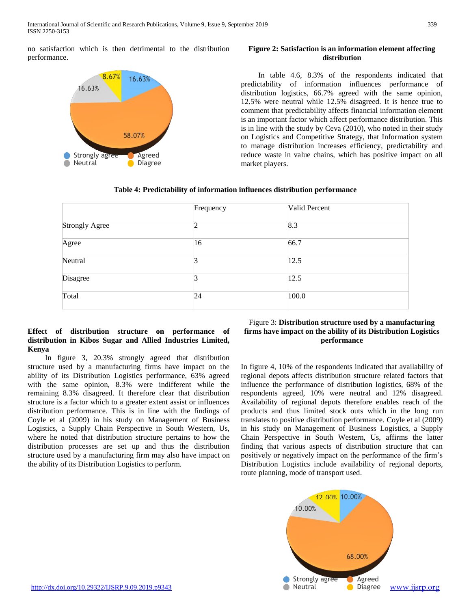no satisfaction which is then detrimental to the distribution performance.



## **Figure 2: Satisfaction is an information element affecting distribution**

 In table 4.6, 8.3% of the respondents indicated that predictability of information influences performance of distribution logistics, 66.7% agreed with the same opinion, 12.5% were neutral while 12.5% disagreed. It is hence true to comment that predictability affects financial information element is an important factor which affect performance distribution. This is in line with the study by Ceva (2010), who noted in their study on Logistics and Competitive Strategy, that Information system to manage distribution increases efficiency, predictability and reduce waste in value chains, which has positive impact on all market players.

# **Table 4: Predictability of information influences distribution performance**

|                       | Frequency | Valid Percent |  |
|-----------------------|-----------|---------------|--|
| <b>Strongly Agree</b> |           | 8.3           |  |
| Agree                 | 16        | 66.7          |  |
| Neutral               |           | 12.5          |  |
| Disagree              |           | 12.5          |  |
| Total                 | 24        | 100.0         |  |

# **Effect of distribution structure on performance of distribution in Kibos Sugar and Allied Industries Limited, Kenya**

 In figure 3, 20.3% strongly agreed that distribution structure used by a manufacturing firms have impact on the ability of its Distribution Logistics performance, 63% agreed with the same opinion, 8.3% were indifferent while the remaining 8.3% disagreed. It therefore clear that distribution structure is a factor which to a greater extent assist or influences distribution performance. This is in line with the findings of Coyle et al (2009) in his study on Management of Business Logistics, a Supply Chain Perspective in South Western, Us, where he noted that distribution structure pertains to how the distribution processes are set up and thus the distribution structure used by a manufacturing firm may also have impact on the ability of its Distribution Logistics to perform.

# Figure 3: **Distribution structure used by a manufacturing firms have impact on the ability of its Distribution Logistics performance**

In figure 4, 10% of the respondents indicated that availability of regional depots affects distribution structure related factors that influence the performance of distribution logistics, 68% of the respondents agreed, 10% were neutral and 12% disagreed. Availability of regional depots therefore enables reach of the products and thus limited stock outs which in the long run translates to positive distribution performance. Coyle et al (2009) in his study on Management of Business Logistics, a Supply Chain Perspective in South Western, Us, affirms the latter finding that various aspects of distribution structure that can positively or negatively impact on the performance of the firm's Distribution Logistics include availability of regional deports, route planning, mode of transport used.

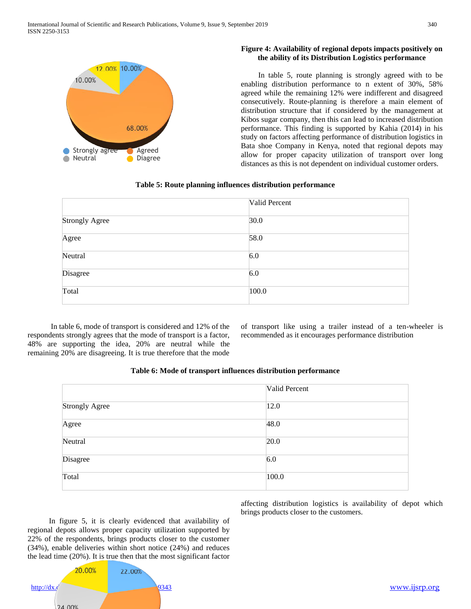

# **Figure 4: Availability of regional depots impacts positively on the ability of its Distribution Logistics performance**

 In table 5, route planning is strongly agreed with to be enabling distribution performance to n extent of 30%, 58% agreed while the remaining 12% were indifferent and disagreed consecutively. Route-planning is therefore a main element of distribution structure that if considered by the management at Kibos sugar company, then this can lead to increased distribution performance. This finding is supported by Kahia (2014) in his study on factors affecting performance of distribution logistics in Bata shoe Company in Kenya, noted that regional depots may allow for proper capacity utilization of transport over long distances as this is not dependent on individual customer orders.

# **Table 5: Route planning influences distribution performance**

|                | Valid Percent |
|----------------|---------------|
| Strongly Agree | 30.0          |
| Agree          | 58.0          |
| Neutral        | 6.0           |
| Disagree       | 6.0           |
| Total          | 100.0         |

 In table 6, mode of transport is considered and 12% of the respondents strongly agrees that the mode of transport is a factor, 48% are supporting the idea, 20% are neutral while the remaining 20% are disagreeing. It is true therefore that the mode

of transport like using a trailer instead of a ten-wheeler is recommended as it encourages performance distribution

## **Table 6: Mode of transport influences distribution performance**

|                | Valid Percent |
|----------------|---------------|
| Strongly Agree | 12.0          |
| Agree          | 48.0          |
| Neutral        | 20.0          |
| Disagree       | 6.0           |
| Total          | 100.0         |

affecting distribution logistics is availability of depot which brings products closer to the customers.

 In figure 5, it is clearly evidenced that availability of regional depots allows proper capacity utilization supported by 22% of the respondents, brings products closer to the customer (34%), enable deliveries within short notice (24%) and reduces the lead time (20%). It is true then that the most significant factor

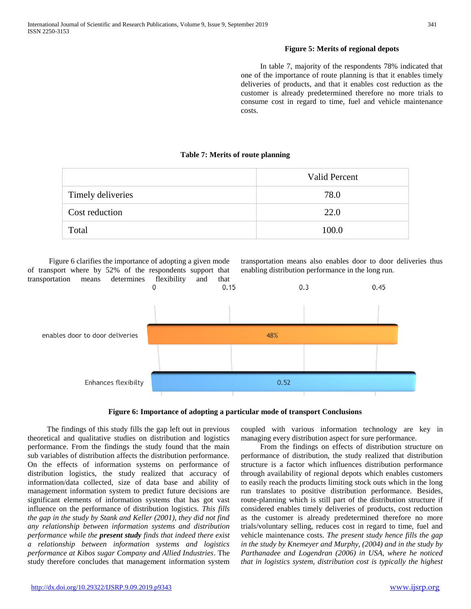## **Figure 5: Merits of regional depots**

 In table 7, majority of the respondents 78% indicated that one of the importance of route planning is that it enables timely deliveries of products, and that it enables cost reduction as the customer is already predetermined therefore no more trials to consume cost in regard to time, fuel and vehicle maintenance costs.

# **Table 7: Merits of route planning**

|                   | <b>Valid Percent</b> |
|-------------------|----------------------|
| Timely deliveries | 78.0                 |
| Cost reduction    | 22.0                 |
| Total             | 100.0                |

 Figure 6 clarifies the importance of adopting a given mode of transport where by 52% of the respondents support that transportation means determines flexibility and that 0.15

transportation means also enables door to door deliveries thus enabling distribution performance in the long run.



**Figure 6: Importance of adopting a particular mode of transport Conclusions**

 The findings of this study fills the gap left out in previous theoretical and qualitative studies on distribution and logistics performance. From the findings the study found that the main sub variables of distribution affects the distribution performance. On the effects of information systems on performance of distribution logistics, the study realized that accuracy of information/data collected, size of data base and ability of management information system to predict future decisions are significant elements of information systems that has got vast influence on the performance of distribution logistics. *This fills the gap in the study by Stank and Keller (2001), they did not find any relationship between information systems and distribution performance while the present study finds that indeed there exist a relationship between information systems and logistics performance at Kibos sugar Company and Allied Industries*. The study therefore concludes that management information system

coupled with various information technology are key in managing every distribution aspect for sure performance.

 From the findings on effects of distribution structure on performance of distribution, the study realized that distribution structure is a factor which influences distribution performance through availability of regional depots which enables customers to easily reach the products limiting stock outs which in the long run translates to positive distribution performance. Besides, route-planning which is still part of the distribution structure if considered enables timely deliveries of products, cost reduction as the customer is already predetermined therefore no more trials/voluntary selling, reduces cost in regard to time, fuel and vehicle maintenance costs. *The present study hence fills the gap in the study by Knemeyer and Murphy, (2004) and in the study by Parthanadee and Logendran (2006) in USA, where he noticed that in logistics system, distribution cost is typically the highest*